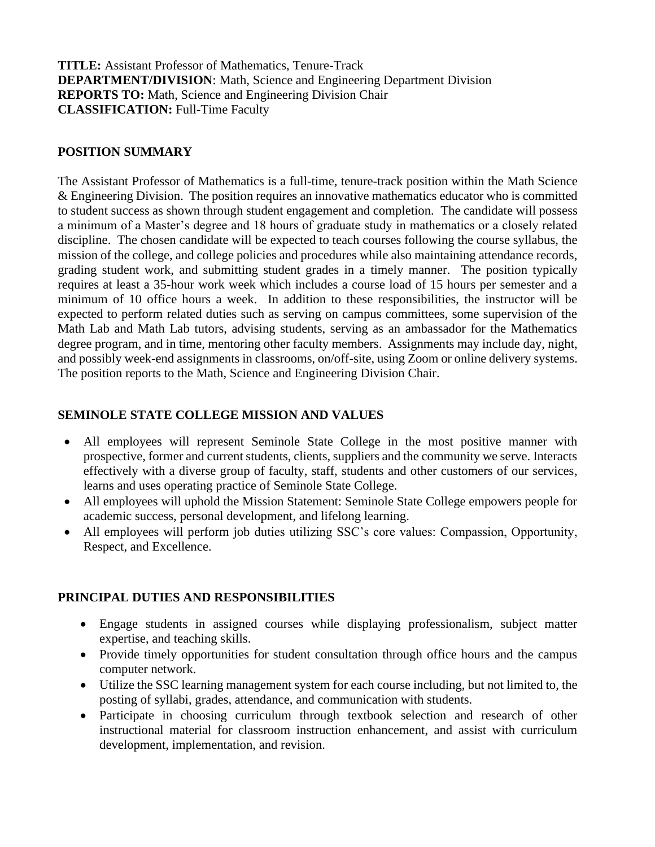**TITLE:** Assistant Professor of Mathematics, Tenure-Track **DEPARTMENT/DIVISION**: Math, Science and Engineering Department Division  **REPORTS TO:** Math, Science and Engineering Division Chair **CLASSIFICATION:** Full-Time Faculty

### **POSITION SUMMARY**

The Assistant Professor of Mathematics is a full-time, tenure-track position within the Math Science & Engineering Division. The position requires an innovative mathematics educator who is committed to student success as shown through student engagement and completion. The candidate will possess a minimum of a Master's degree and 18 hours of graduate study in mathematics or a closely related discipline. The chosen candidate will be expected to teach courses following the course syllabus, the mission of the college, and college policies and procedures while also maintaining attendance records, grading student work, and submitting student grades in a timely manner. The position typically requires at least a 35-hour work week which includes a course load of 15 hours per semester and a minimum of 10 office hours a week. In addition to these responsibilities, the instructor will be expected to perform related duties such as serving on campus committees, some supervision of the Math Lab and Math Lab tutors, advising students, serving as an ambassador for the Mathematics degree program, and in time, mentoring other faculty members. Assignments may include day, night, and possibly week-end assignments in classrooms, on/off-site, using Zoom or online delivery systems. The position reports to the Math, Science and Engineering Division Chair.

### **SEMINOLE STATE COLLEGE MISSION AND VALUES**

- All employees will represent Seminole State College in the most positive manner with prospective, former and current students, clients, suppliers and the community we serve. Interacts effectively with a diverse group of faculty, staff, students and other customers of our services, learns and uses operating practice of Seminole State College.
- All employees will uphold the Mission Statement: Seminole State College empowers people for academic success, personal development, and lifelong learning.
- All employees will perform job duties utilizing SSC's core values: Compassion, Opportunity, Respect, and Excellence.

# **PRINCIPAL DUTIES AND RESPONSIBILITIES**

- Engage students in assigned courses while displaying professionalism, subject matter expertise, and teaching skills.
- Provide timely opportunities for student consultation through office hours and the campus computer network.
- Utilize the SSC learning management system for each course including, but not limited to, the posting of syllabi, grades, attendance, and communication with students.
- Participate in choosing curriculum through textbook selection and research of other instructional material for classroom instruction enhancement, and assist with curriculum development, implementation, and revision.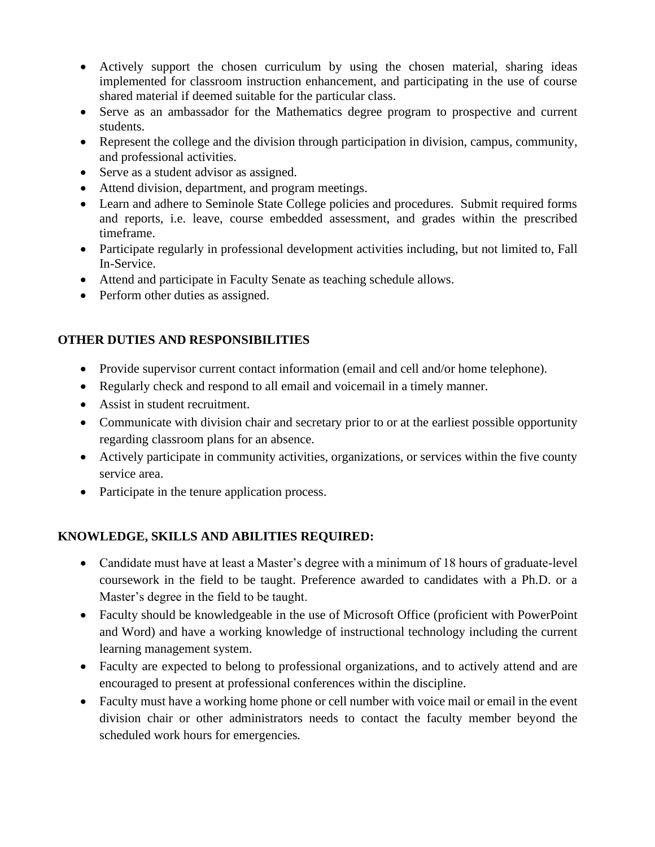- Actively support the chosen curriculum by using the chosen material, sharing ideas implemented for classroom instruction enhancement, and participating in the use of course shared material if deemed suitable for the particular class.
- Serve as an ambassador for the Mathematics degree program to prospective and current students.
- Represent the college and the division through participation in division, campus, community, and professional activities.
- Serve as a student advisor as assigned.
- Attend division, department, and program meetings.
- Learn and adhere to Seminole State College policies and procedures. Submit required forms and reports, i.e. leave, course embedded assessment, and grades within the prescribed timeframe.
- Participate regularly in professional development activities including, but not limited to, Fall In-Service.
- Attend and participate in Faculty Senate as teaching schedule allows.
- Perform other duties as assigned.

# **OTHER DUTIES AND RESPONSIBILITIES**

- Provide supervisor current contact information (email and cell and/or home telephone).
- Regularly check and respond to all email and voicemail in a timely manner.
- Assist in student recruitment.
- Communicate with division chair and secretary prior to or at the earliest possible opportunity regarding classroom plans for an absence.
- Actively participate in community activities, organizations, or services within the five county service area.
- Participate in the tenure application process.

# **KNOWLEDGE, SKILLS AND ABILITIES REQUIRED:**

- Candidate must have at least a Master's degree with a minimum of 18 hours of graduate-level coursework in the field to be taught. Preference awarded to candidates with a Ph.D. or a Master's degree in the field to be taught.
- Faculty should be knowledgeable in the use of Microsoft Office (proficient with PowerPoint and Word) and have a working knowledge of instructional technology including the current learning management system.
- Faculty are expected to belong to professional organizations, and to actively attend and are encouraged to present at professional conferences within the discipline.
- Faculty must have a working home phone or cell number with voice mail or email in the event division chair or other administrators needs to contact the faculty member beyond the scheduled work hours for emergencies*.*